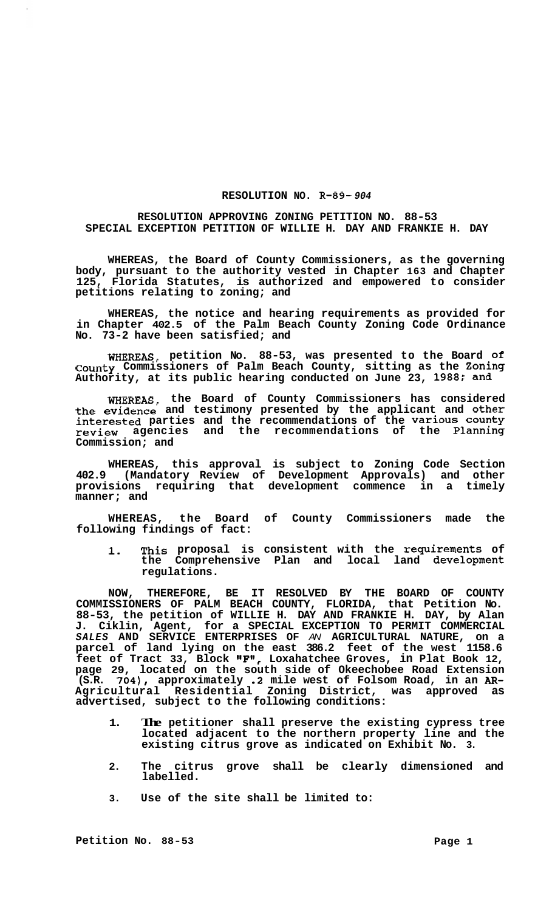## **RESOLUTION NO. R-89-** *904*

## **RESOLUTION APPROVING ZONING PETITION NO. 88-53 SPECIAL EXCEPTION PETITION OF WILLIE H. DAY AND FRANKIE H. DAY**

**WHEREAS, the Board of County Commissioners, as the governing body, pursuant to the authority vested in Chapter 163 and Chapter 125, Florida Statutes, is authorized and empowered to consider petitions relating to zoning; and** 

**WHEREAS, the notice and hearing requirements as provided for in Chapter 402.5 of the Palm Beach County Zoning Code Ordinance No. 73-2 have been satisfied; and** 

**WHEREAS, petition No. 88-53, was presented to the Board of County Commissioners of Palm Beach County, sitting as the Zoning Authority, at its public hearing conducted on June 23, 1988; and** 

**WHEREAS, the Board of County Commissioners has considered the evidence and testimony presented by the applicant and other interested parties and the recommendations of the Various county review agencies and the recommendations of the Planning Commission; and** 

**WHEREAS, this approval is subject to Zoning Code Section 402.9 (Mandatory Review of Development Approvals) and other provisions requiring that development commence in a timely manner; and** 

**WHEREAS, the Board of County Commissioners made the following findings of fact:** 

**1. This proposal is consistent with the requirements of the Comprehensive Plan and local land development regulations.** 

**NOW, THEREFORE, BE IT RESOLVED BY THE BOARD OF COUNTY COMMISSIONERS OF PALM BEACH COUNTY, FLORIDA, that Petition No. 88-53, the petition of WILLIE H. DAY AND FRANKIE H. DAY, by Alan J. Ciklin, Agent, for a SPECIAL EXCEPTION TO PERMIT COMMERCIAL**  *SALES* **AND SERVICE ENTERPRISES OF** *AN* **AGRICULTURAL NATURE, on a parcel of land lying on the east 386.2 feet of the west 1158.6 feet of Tract 33, Block llF'a, Loxahatchee Groves, in Plat Book 12, page 29, located on the south side of Okeechobee Road Extension (S.R. 704), approximately .2 mile west of Folsom Road, in an** *AR-***Agricultural Residential Zoning District, was approved as advertised, subject to the following conditions:** 

- **1. The petitioner shall preserve the existing cypress tree located adjacent to the northern property line and the existing citrus grove as indicated on Exhibit No. 3.**
- **2. The citrus grove shall be clearly dimensioned and labelled.**
- **3. Use of the site shall be limited to:**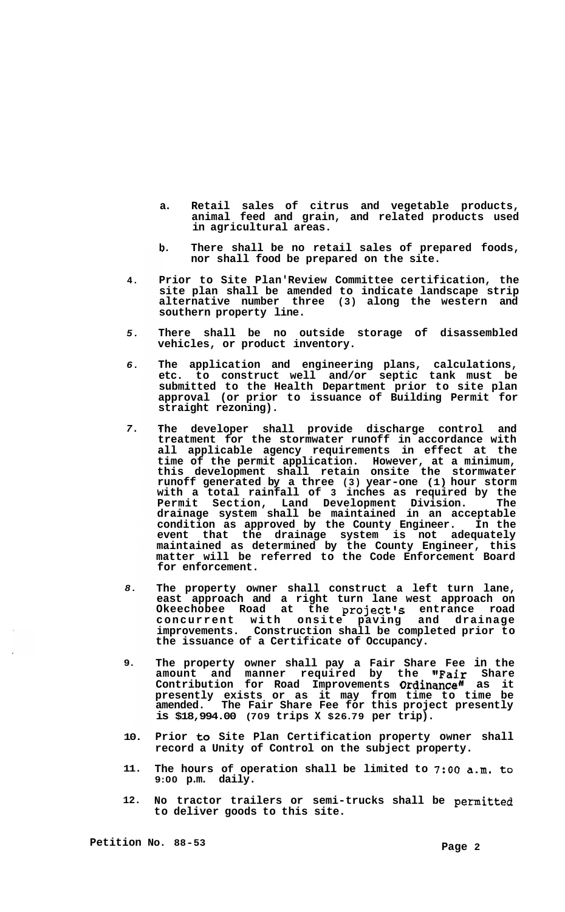- **a. Retail sales of citrus and vegetable products, animal feed and grain, and related products used in agricultural areas.**
- **b. There shall be no retail sales of prepared foods, nor shall food be prepared on the site.**
- **4. Prior to Site Plan' Review Committee certification, the site plan shall be amended to indicate landscape strip alternative number three (3) along the western and southern property line.**
- *5.*  **There shall be no outside storage of disassembled vehicles, or product inventory.**
- *6.*  **The application and engineering plans, calculations, etc. to construct well and/or septic tank must be submitted to the Health Department prior to site plan approval (or prior to issuance of Building Permit for straight rezoning).**
- *7.*  **The developer shall provide discharge control and treatment for the stormwater runoff in accordance with all applicable agency requirements in effect at the time of the permit application. However, at a minimum, this development shall retain onsite the stormwater runoff generated by a three (3) year-one (1) hour storm with a total rainfall of 3 inches as required by the Permit Section, Land Development Division. The drainage system shall be maintained in an acceptable condition as approved by the County Engineer. In the event that the drainage system is not adequately maintained as determined by the County Engineer, this matter will be referred to the Code Enforcement Board for enforcement.**
- *8.*  **The property owner shall construct a left turn lane, east approach and a right turn lane west approach on**  Okeechobee Road at the project's entrance road **concurrent with onsite paving and drainage improvements. Construction shall be completed prior to the issuance of a Certificate of Occupancy.**
- **9. The property owner shall pay a Fair Share Fee in the amount and manner required by the '#Fair Share Contribution for Road Improvements Ordinance11 as it presently exists or as it may from time to time be amended. The Fair Share Fee for this project presently is \$18,994.00 (709 trips X \$26.79 per trip).**
- **10. Prior to Site Plan Certification property owner shall record a Unity of Control on the subject property.**
- **11. The hours of operation shall be limited to** *7:OO* **a.m. to 9:00 p.m. daily.**
- **12. No tractor trailers or semi-trucks shall be permitted to deliver goods to this site.**